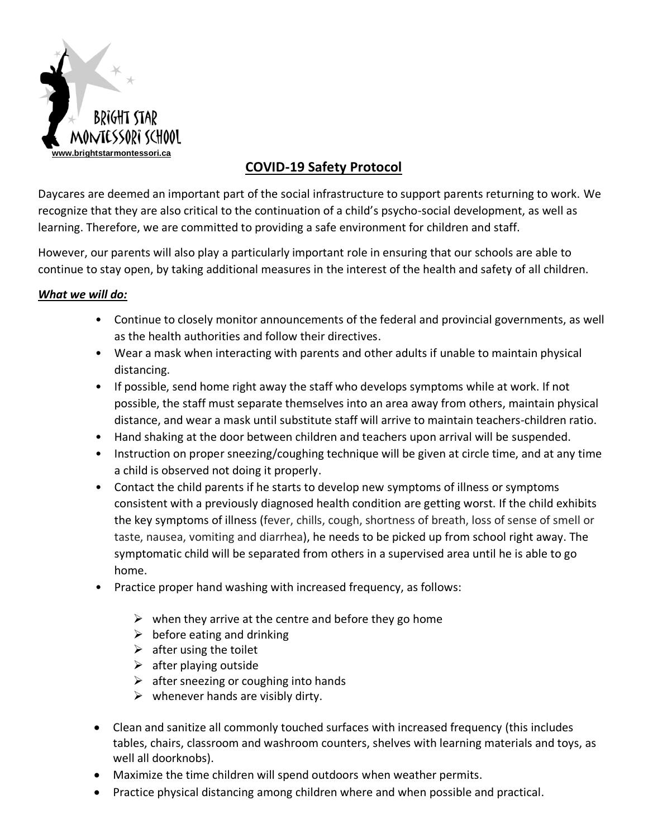

# **COVID-19 Safety Protocol**

Daycares are deemed an important part of the social infrastructure to support parents returning to work. We recognize that they are also critical to the continuation of a child's psycho-social development, as well as learning. Therefore, we are committed to providing a safe environment for children and staff.

However, our parents will also play a particularly important role in ensuring that our schools are able to continue to stay open, by taking additional measures in the interest of the health and safety of all children.

# *What we will do:*

- Continue to closely monitor announcements of the federal and provincial governments, as well as the health authorities and follow their directives.
- Wear a mask when interacting with parents and other adults if unable to maintain physical distancing.
- If possible, send home right away the staff who develops symptoms while at work. If not possible, the staff must separate themselves into an area away from others, maintain physical distance, and wear a mask until substitute staff will arrive to maintain teachers-children ratio.
- Hand shaking at the door between children and teachers upon arrival will be suspended.
- Instruction on proper sneezing/coughing technique will be given at circle time, and at any time a child is observed not doing it properly.
- Contact the child parents if he starts to develop new symptoms of illness or symptoms consistent with a previously diagnosed health condition are getting worst. If the child exhibits the key symptoms of illness (fever, chills, cough, shortness of breath, loss of sense of smell or taste, nausea, vomiting and diarrhea), he needs to be picked up from school right away. The symptomatic child will be separated from others in a supervised area until he is able to go home.
- Practice proper hand washing with increased frequency, as follows:
	- $\triangleright$  when they arrive at the centre and before they go home
	- $\triangleright$  before eating and drinking
	- $\triangleright$  after using the toilet
	- $\triangleright$  after playing outside
	- $\triangleright$  after sneezing or coughing into hands
	- $\triangleright$  whenever hands are visibly dirty.
- Clean and sanitize all commonly touched surfaces with increased frequency (this includes tables, chairs, classroom and washroom counters, shelves with learning materials and toys, as well all doorknobs).
- Maximize the time children will spend outdoors when weather permits.
- Practice physical distancing among children where and when possible and practical.